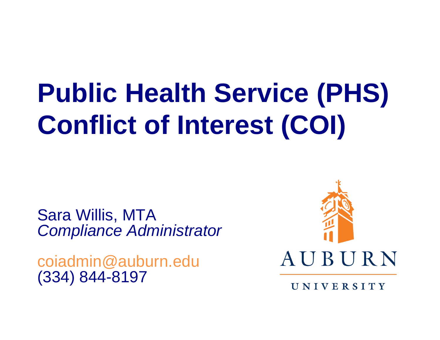# **Public Health Service (PHS) Conflict of Interest (COI)**

Sara Willis, MTA *Compliance Administrator*

coiadmin@auburn.edu (334) 844-8197



UNIVERSITY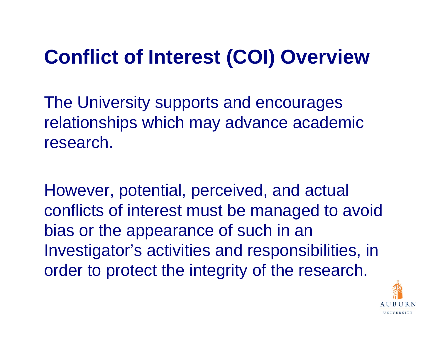#### **Conflict of Interest (COI) Overview**

The University supports and encourages relationships which may advance academic research.

However, potential, perceived, and actual conflicts of interest must be managed to avoid bias or the appearance of such in an Investigator's activities and responsibilities, in order to protect the integrity of the research.

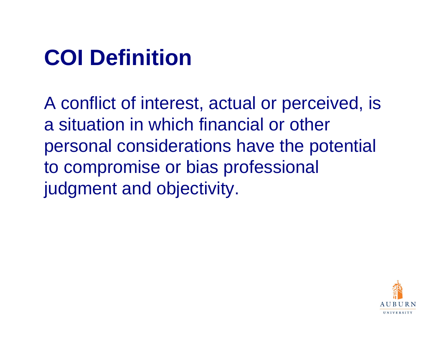#### **COI Definition**

A conflict of interest, actual or perceived, is a situation in which financial or other personal considerations have the potential to compromise or bias professional judgment and objectivity.

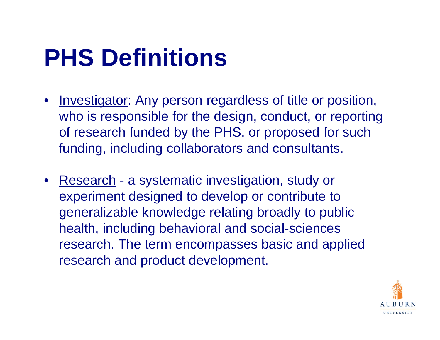#### **PHS Definitions**

- Investigator: Any person regardless of title or position, who is responsible for the design, conduct, or reporting of research funded by the PHS, or proposed for such funding, including collaborators and consultants.
- Research a systematic investigation, study or experiment designed to develop or contribute to generalizable knowledge relating broadly to public health, including behavioral and social-sciences research. The term encompasses basic and applied research and product development.

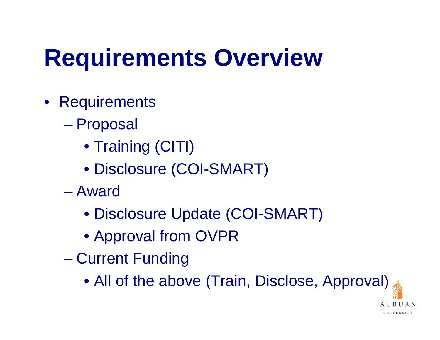## **Requirements Overview**

- Requirements
	- $\mathcal{L}_{\mathcal{A}}$  , and the set of the set of the set of the set of the set of the set of the set of the set of the set of the set of the set of the set of the set of the set of the set of the set of the set of the set of th Proposal
		- Training (CITI)
		- Disclosure (COI-SMART)
	- Award
		- Disclosure Update (COI-SMART)
		- Approval from OVPR
	- Current Funding
		- All of the above (Train, Disclose, Approval)

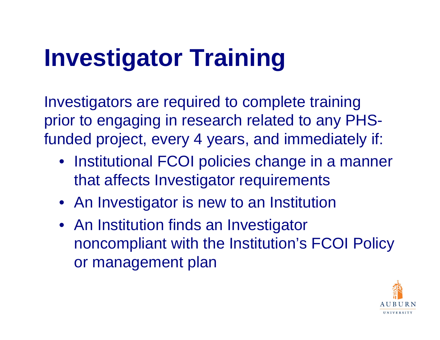## **Investigator Training**

Investigators are required to complete training prior to engaging in research related to any PHSfunded project, every 4 years, and immediately if:

- Institutional FCOI policies change in a manner that affects Investigator requirements
- An Investigator is new to an Institution
- An Institution finds an Investigator noncompliant with the Institution's FCOI Policy or management plan

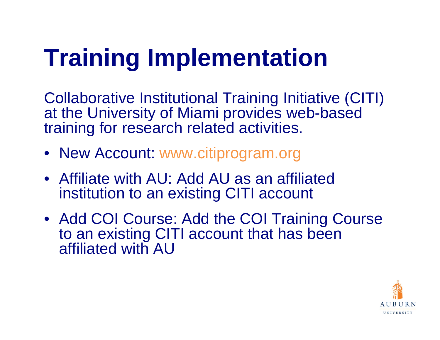## **Training Implementation**

Collaborative Institutional Training Initiative (CITI) at the University of Miami provides web-based training for research related activities.

- New Account: www.citiprogram.org
- Affiliate with AU: Add AU as an affiliated institution to an existing CITI account
- Add COI Course: Add the COI Training Course to an existing CITI account that has been affiliated with AU

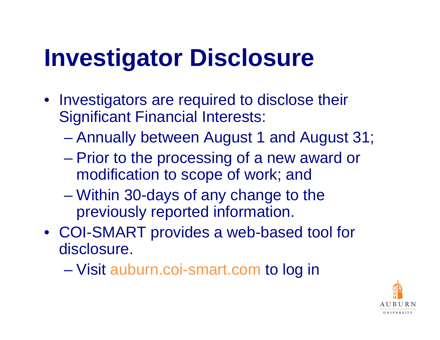#### **Investigator Disclosure**

- Investigators are required to disclose their Significant Financial Interests:
	- Annually between August 1 and August 31;
	- $\mathcal{L}_{\mathcal{A}}$  Prior to the processing of a new award or modification to scope of work; and
	- – Within 30-days of any change to the previously reported information.
- COI-SMART provides a web-based tool for disclosure.
	- Visit auburn.coi-smart.com to log in

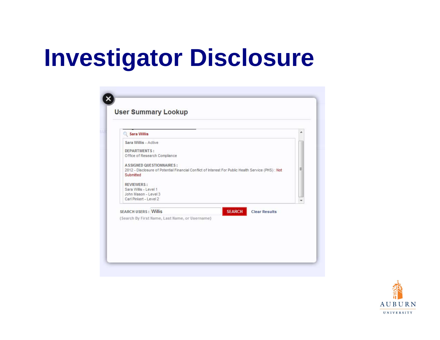#### **Investigator Disclosure**

| Sara Willis - Active                           |                                                                                                     |   |
|------------------------------------------------|-----------------------------------------------------------------------------------------------------|---|
| <b>DEPARTMENTS:</b>                            |                                                                                                     |   |
| Office of Research Compliance                  |                                                                                                     |   |
| <b>ASSIGNED QUESTIONNAIRES:</b>                |                                                                                                     |   |
|                                                | 2012 - Disclosure of Potential Financial Conflict of Interest For Public Health Service (PHS) : Not | Ξ |
| Submitted                                      |                                                                                                     |   |
| <b>REVIEWERS:</b>                              |                                                                                                     |   |
| Sara Willis - Level 1                          |                                                                                                     |   |
| John Mason - Level 3<br>Carl Pinkert - Level 2 |                                                                                                     |   |
|                                                |                                                                                                     |   |
|                                                |                                                                                                     |   |
| <b>SEARCH USERS: Willis</b>                    |                                                                                                     |   |
| (Search By First Name, Last Name, or Username) |                                                                                                     |   |
|                                                | <b>SEARCH</b><br><b>Clear Results</b>                                                               |   |

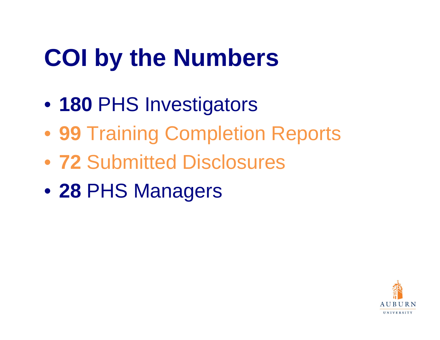## **COI by the Numbers**

- **180** PHS Investigators
- **99** Training Completion Reports
- **72** Submitted Disclosures
- **28** PHS Managers